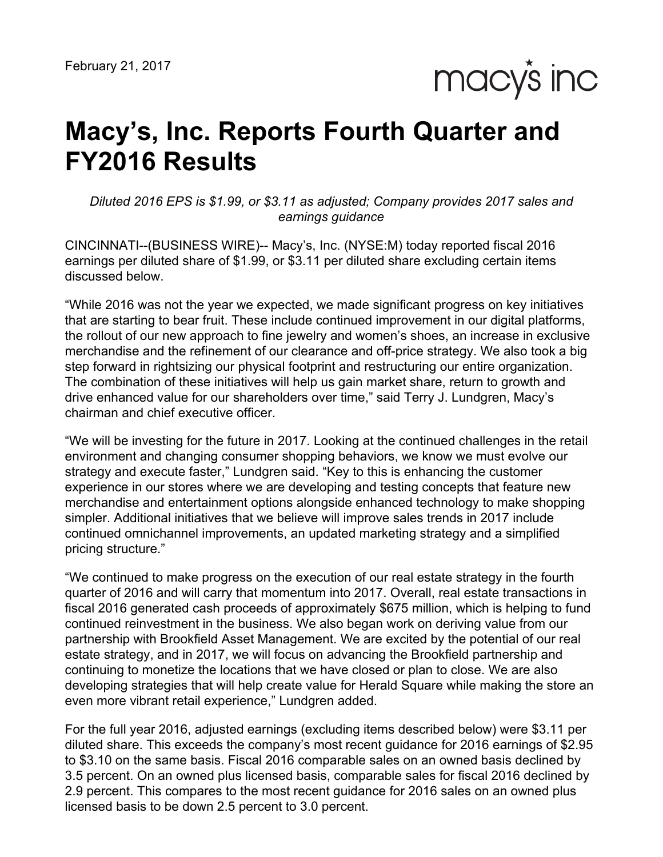macy's inc

# **Macy's, Inc. Reports Fourth Quarter and FY2016 Results**

*Diluted 2016 EPS is \$1.99, or \$3.11 as adjusted; Company provides 2017 sales and earnings guidance*

CINCINNATI--(BUSINESS WIRE)-- Macy's, Inc. (NYSE:M) today reported fiscal 2016 earnings per diluted share of \$1.99, or \$3.11 per diluted share excluding certain items discussed below.

"While 2016 was not the year we expected, we made significant progress on key initiatives that are starting to bear fruit. These include continued improvement in our digital platforms, the rollout of our new approach to fine jewelry and women's shoes, an increase in exclusive merchandise and the refinement of our clearance and off-price strategy. We also took a big step forward in rightsizing our physical footprint and restructuring our entire organization. The combination of these initiatives will help us gain market share, return to growth and drive enhanced value for our shareholders over time," said Terry J. Lundgren, Macy's chairman and chief executive officer.

"We will be investing for the future in 2017. Looking at the continued challenges in the retail environment and changing consumer shopping behaviors, we know we must evolve our strategy and execute faster," Lundgren said. "Key to this is enhancing the customer experience in our stores where we are developing and testing concepts that feature new merchandise and entertainment options alongside enhanced technology to make shopping simpler. Additional initiatives that we believe will improve sales trends in 2017 include continued omnichannel improvements, an updated marketing strategy and a simplified pricing structure."

"We continued to make progress on the execution of our real estate strategy in the fourth quarter of 2016 and will carry that momentum into 2017. Overall, real estate transactions in fiscal 2016 generated cash proceeds of approximately \$675 million, which is helping to fund continued reinvestment in the business. We also began work on deriving value from our partnership with Brookfield Asset Management. We are excited by the potential of our real estate strategy, and in 2017, we will focus on advancing the Brookfield partnership and continuing to monetize the locations that we have closed or plan to close. We are also developing strategies that will help create value for Herald Square while making the store an even more vibrant retail experience," Lundgren added.

For the full year 2016, adjusted earnings (excluding items described below) were \$3.11 per diluted share. This exceeds the company's most recent guidance for 2016 earnings of \$2.95 to \$3.10 on the same basis. Fiscal 2016 comparable sales on an owned basis declined by 3.5 percent. On an owned plus licensed basis, comparable sales for fiscal 2016 declined by 2.9 percent. This compares to the most recent guidance for 2016 sales on an owned plus licensed basis to be down 2.5 percent to 3.0 percent.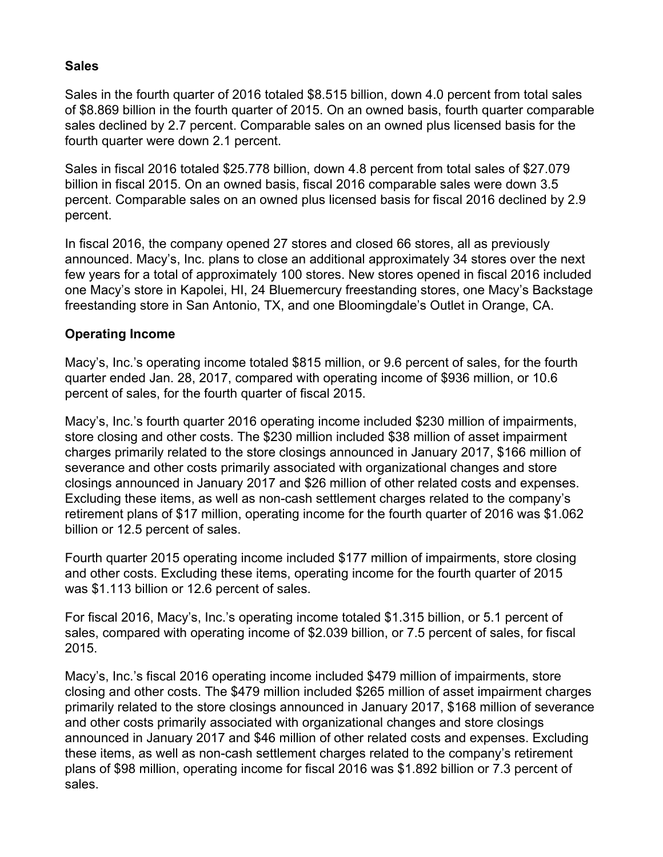### **Sales**

Sales in the fourth quarter of 2016 totaled \$8.515 billion, down 4.0 percent from total sales of \$8.869 billion in the fourth quarter of 2015. On an owned basis, fourth quarter comparable sales declined by 2.7 percent. Comparable sales on an owned plus licensed basis for the fourth quarter were down 2.1 percent.

Sales in fiscal 2016 totaled \$25.778 billion, down 4.8 percent from total sales of \$27.079 billion in fiscal 2015. On an owned basis, fiscal 2016 comparable sales were down 3.5 percent. Comparable sales on an owned plus licensed basis for fiscal 2016 declined by 2.9 percent.

In fiscal 2016, the company opened 27 stores and closed 66 stores, all as previously announced. Macy's, Inc. plans to close an additional approximately 34 stores over the next few years for a total of approximately 100 stores. New stores opened in fiscal 2016 included one Macy's store in Kapolei, HI, 24 Bluemercury freestanding stores, one Macy's Backstage freestanding store in San Antonio, TX, and one Bloomingdale's Outlet in Orange, CA.

#### **Operating Income**

Macy's, Inc.'s operating income totaled \$815 million, or 9.6 percent of sales, for the fourth quarter ended Jan. 28, 2017, compared with operating income of \$936 million, or 10.6 percent of sales, for the fourth quarter of fiscal 2015.

Macy's, Inc.'s fourth quarter 2016 operating income included \$230 million of impairments, store closing and other costs. The \$230 million included \$38 million of asset impairment charges primarily related to the store closings announced in January 2017, \$166 million of severance and other costs primarily associated with organizational changes and store closings announced in January 2017 and \$26 million of other related costs and expenses. Excluding these items, as well as non-cash settlement charges related to the company's retirement plans of \$17 million, operating income for the fourth quarter of 2016 was \$1.062 billion or 12.5 percent of sales.

Fourth quarter 2015 operating income included \$177 million of impairments, store closing and other costs. Excluding these items, operating income for the fourth quarter of 2015 was \$1.113 billion or 12.6 percent of sales.

For fiscal 2016, Macy's, Inc.'s operating income totaled \$1.315 billion, or 5.1 percent of sales, compared with operating income of \$2.039 billion, or 7.5 percent of sales, for fiscal 2015.

Macy's, Inc.'s fiscal 2016 operating income included \$479 million of impairments, store closing and other costs. The \$479 million included \$265 million of asset impairment charges primarily related to the store closings announced in January 2017, \$168 million of severance and other costs primarily associated with organizational changes and store closings announced in January 2017 and \$46 million of other related costs and expenses. Excluding these items, as well as non-cash settlement charges related to the company's retirement plans of \$98 million, operating income for fiscal 2016 was \$1.892 billion or 7.3 percent of sales.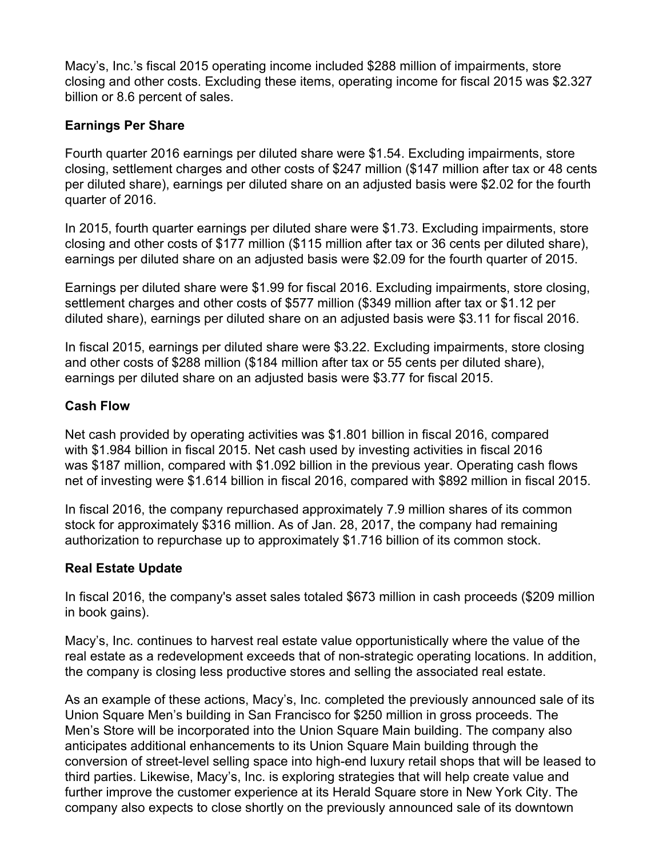Macy's, Inc.'s fiscal 2015 operating income included \$288 million of impairments, store closing and other costs. Excluding these items, operating income for fiscal 2015 was \$2.327 billion or 8.6 percent of sales.

## **Earnings Per Share**

Fourth quarter 2016 earnings per diluted share were \$1.54. Excluding impairments, store closing, settlement charges and other costs of \$247 million (\$147 million after tax or 48 cents per diluted share), earnings per diluted share on an adjusted basis were \$2.02 for the fourth quarter of 2016.

In 2015, fourth quarter earnings per diluted share were \$1.73. Excluding impairments, store closing and other costs of \$177 million (\$115 million after tax or 36 cents per diluted share), earnings per diluted share on an adjusted basis were \$2.09 for the fourth quarter of 2015.

Earnings per diluted share were \$1.99 for fiscal 2016. Excluding impairments, store closing, settlement charges and other costs of \$577 million (\$349 million after tax or \$1.12 per diluted share), earnings per diluted share on an adjusted basis were \$3.11 for fiscal 2016.

In fiscal 2015, earnings per diluted share were \$3.22. Excluding impairments, store closing and other costs of \$288 million (\$184 million after tax or 55 cents per diluted share), earnings per diluted share on an adjusted basis were \$3.77 for fiscal 2015.

#### **Cash Flow**

Net cash provided by operating activities was \$1.801 billion in fiscal 2016, compared with \$1.984 billion in fiscal 2015. Net cash used by investing activities in fiscal 2016 was \$187 million, compared with \$1.092 billion in the previous year. Operating cash flows net of investing were \$1.614 billion in fiscal 2016, compared with \$892 million in fiscal 2015.

In fiscal 2016, the company repurchased approximately 7.9 million shares of its common stock for approximately \$316 million. As of Jan. 28, 2017, the company had remaining authorization to repurchase up to approximately \$1.716 billion of its common stock.

## **Real Estate Update**

In fiscal 2016, the company's asset sales totaled \$673 million in cash proceeds (\$209 million in book gains).

Macy's, Inc. continues to harvest real estate value opportunistically where the value of the real estate as a redevelopment exceeds that of non-strategic operating locations. In addition, the company is closing less productive stores and selling the associated real estate.

As an example of these actions, Macy's, Inc. completed the previously announced sale of its Union Square Men's building in San Francisco for \$250 million in gross proceeds. The Men's Store will be incorporated into the Union Square Main building. The company also anticipates additional enhancements to its Union Square Main building through the conversion of street-level selling space into high-end luxury retail shops that will be leased to third parties. Likewise, Macy's, Inc. is exploring strategies that will help create value and further improve the customer experience at its Herald Square store in New York City. The company also expects to close shortly on the previously announced sale of its downtown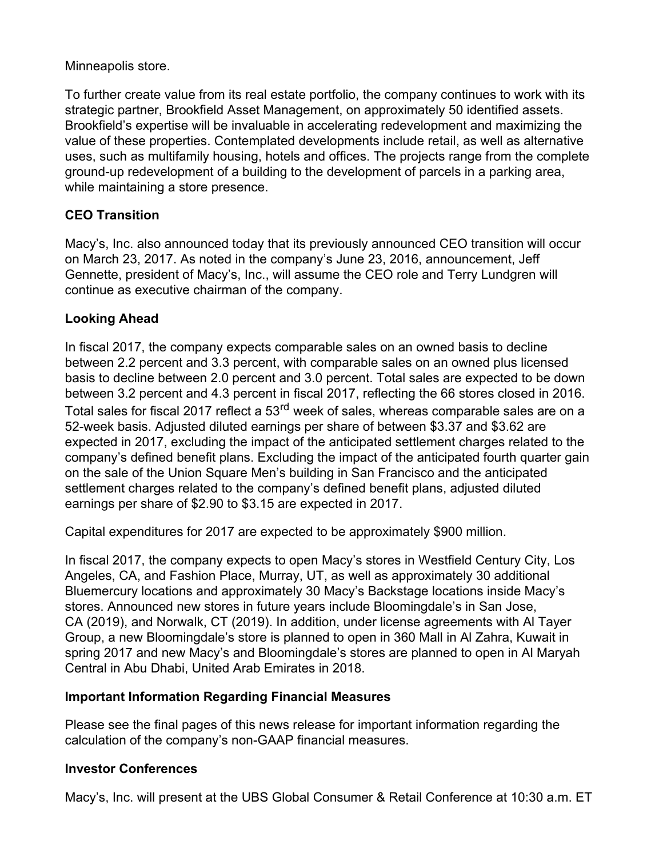Minneapolis store.

To further create value from its real estate portfolio, the company continues to work with its strategic partner, Brookfield Asset Management, on approximately 50 identified assets. Brookfield's expertise will be invaluable in accelerating redevelopment and maximizing the value of these properties. Contemplated developments include retail, as well as alternative uses, such as multifamily housing, hotels and offices. The projects range from the complete ground-up redevelopment of a building to the development of parcels in a parking area, while maintaining a store presence.

## **CEO Transition**

Macy's, Inc. also announced today that its previously announced CEO transition will occur on March 23, 2017. As noted in the company's June 23, 2016, announcement, Jeff Gennette, president of Macy's, Inc., will assume the CEO role and Terry Lundgren will continue as executive chairman of the company.

## **Looking Ahead**

In fiscal 2017, the company expects comparable sales on an owned basis to decline between 2.2 percent and 3.3 percent, with comparable sales on an owned plus licensed basis to decline between 2.0 percent and 3.0 percent. Total sales are expected to be down between 3.2 percent and 4.3 percent in fiscal 2017, reflecting the 66 stores closed in 2016. Total sales for fiscal 2017 reflect a 53<sup>rd</sup> week of sales, whereas comparable sales are on a 52-week basis. Adjusted diluted earnings per share of between \$3.37 and \$3.62 are expected in 2017, excluding the impact of the anticipated settlement charges related to the company's defined benefit plans. Excluding the impact of the anticipated fourth quarter gain on the sale of the Union Square Men's building in San Francisco and the anticipated settlement charges related to the company's defined benefit plans, adjusted diluted earnings per share of \$2.90 to \$3.15 are expected in 2017.

Capital expenditures for 2017 are expected to be approximately \$900 million.

In fiscal 2017, the company expects to open Macy's stores in Westfield Century City, Los Angeles, CA, and Fashion Place, Murray, UT, as well as approximately 30 additional Bluemercury locations and approximately 30 Macy's Backstage locations inside Macy's stores. Announced new stores in future years include Bloomingdale's in San Jose, CA (2019), and Norwalk, CT (2019). In addition, under license agreements with Al Tayer Group, a new Bloomingdale's store is planned to open in 360 Mall in Al Zahra, Kuwait in spring 2017 and new Macy's and Bloomingdale's stores are planned to open in Al Maryah Central in Abu Dhabi, United Arab Emirates in 2018.

## **Important Information Regarding Financial Measures**

Please see the final pages of this news release for important information regarding the calculation of the company's non-GAAP financial measures.

## **Investor Conferences**

Macy's, Inc. will present at the UBS Global Consumer & Retail Conference at 10:30 a.m. ET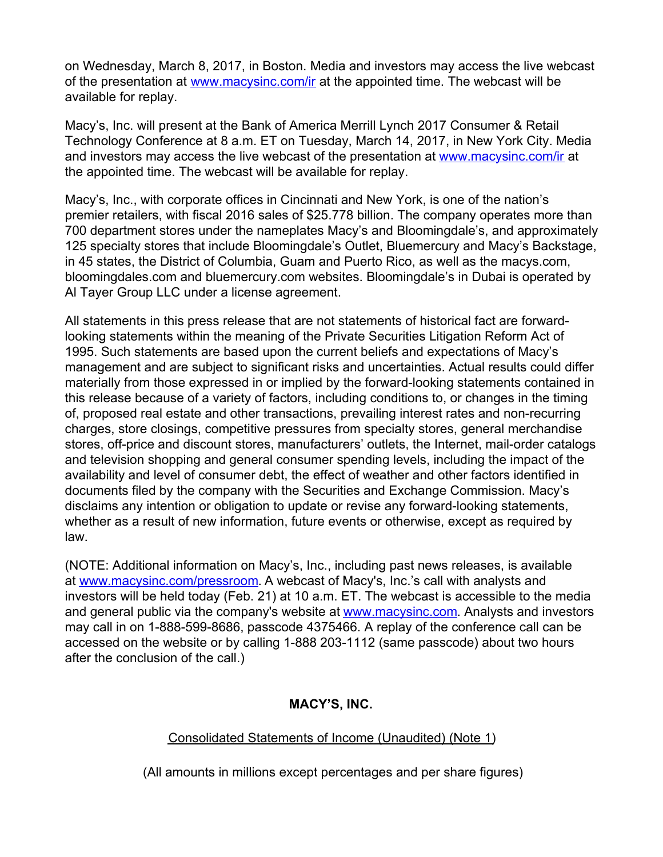on Wednesday, March 8, 2017, in Boston. Media and investors may access the live webcast of the presentation at [www.macysinc.com/ir](http://www.macysinc.com/ir) at the appointed time. The webcast will be available for replay.

Macy's, Inc. will present at the Bank of America Merrill Lynch 2017 Consumer & Retail Technology Conference at 8 a.m. ET on Tuesday, March 14, 2017, in New York City. Media and investors may access the live webcast of the presentation at [www.macysinc.com/ir](http://www.macysinc.com/ir) at the appointed time. The webcast will be available for replay.

Macy's, Inc., with corporate offices in Cincinnati and New York, is one of the nation's premier retailers, with fiscal 2016 sales of \$25.778 billion. The company operates more than 700 department stores under the nameplates Macy's and Bloomingdale's, and approximately 125 specialty stores that include Bloomingdale's Outlet, Bluemercury and Macy's Backstage, in 45 states, the District of Columbia, Guam and Puerto Rico, as well as the macys.com, bloomingdales.com and bluemercury.com websites. Bloomingdale's in Dubai is operated by Al Tayer Group LLC under a license agreement.

All statements in this press release that are not statements of historical fact are forwardlooking statements within the meaning of the Private Securities Litigation Reform Act of 1995. Such statements are based upon the current beliefs and expectations of Macy's management and are subject to significant risks and uncertainties. Actual results could differ materially from those expressed in or implied by the forward-looking statements contained in this release because of a variety of factors, including conditions to, or changes in the timing of, proposed real estate and other transactions, prevailing interest rates and non-recurring charges, store closings, competitive pressures from specialty stores, general merchandise stores, off-price and discount stores, manufacturers' outlets, the Internet, mail-order catalogs and television shopping and general consumer spending levels, including the impact of the availability and level of consumer debt, the effect of weather and other factors identified in documents filed by the company with the Securities and Exchange Commission. Macy's disclaims any intention or obligation to update or revise any forward-looking statements, whether as a result of new information, future events or otherwise, except as required by law.

(NOTE: Additional information on Macy's, Inc., including past news releases, is available at [www.macysinc.com/pressroom](http://www.macysinc.com/pressroom). A webcast of Macy's, Inc.'s call with analysts and investors will be held today (Feb. 21) at 10 a.m. ET. The webcast is accessible to the media and general public via the company's website at [www.macysinc.com](http://www.macysinc.com). Analysts and investors may call in on 1-888-599-8686, passcode 4375466. A replay of the conference call can be accessed on the website or by calling 1-888 203-1112 (same passcode) about two hours after the conclusion of the call.)

## **MACY'S, INC.**

## Consolidated Statements of Income (Unaudited) (Note 1)

(All amounts in millions except percentages and per share figures)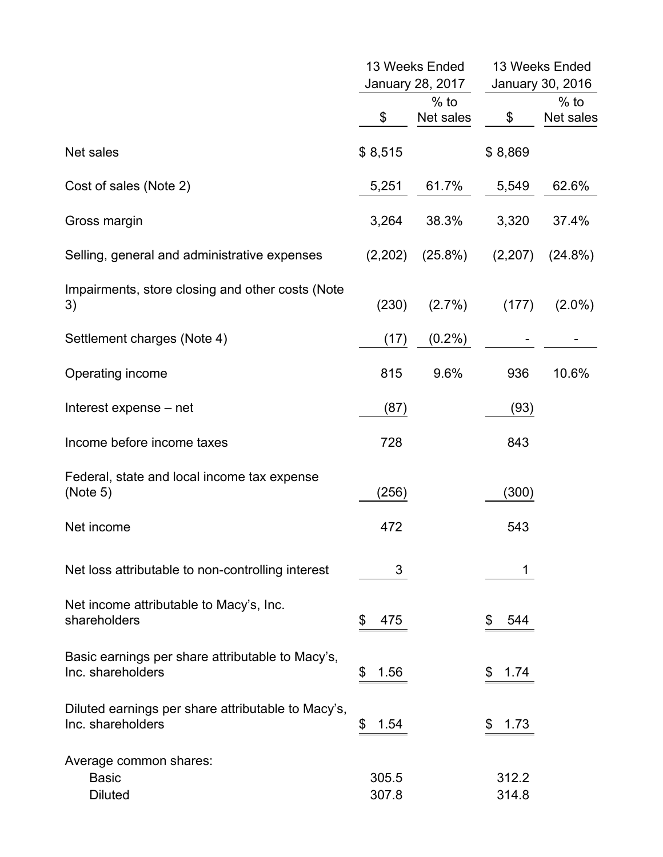|                                                                         | 13 Weeks Ended<br>January 28, 2017 |                     |                | 13 Weeks Ended<br>January 30, 2016 |
|-------------------------------------------------------------------------|------------------------------------|---------------------|----------------|------------------------------------|
|                                                                         | \$                                 | $%$ to<br>Net sales | \$             | $%$ to<br>Net sales                |
| Net sales                                                               | \$8,515                            |                     | \$8,869        |                                    |
| Cost of sales (Note 2)                                                  | 5,251                              | 61.7%               | 5,549          | 62.6%                              |
| Gross margin                                                            | 3,264                              | 38.3%               | 3,320          | 37.4%                              |
| Selling, general and administrative expenses                            | (2,202)                            | $(25.8\%)$          | (2,207)        | $(24.8\%)$                         |
| Impairments, store closing and other costs (Note<br>3)                  | (230)                              | $(2.7\%)$           | (177)          | $(2.0\%)$                          |
| Settlement charges (Note 4)                                             | (17)                               | $(0.2\%)$           |                |                                    |
| Operating income                                                        | 815                                | 9.6%                | 936            | 10.6%                              |
| Interest expense – net                                                  | (87)                               |                     | (93)           |                                    |
| Income before income taxes                                              | 728                                |                     | 843            |                                    |
| Federal, state and local income tax expense<br>(Note 5)                 | (256)                              |                     | (300)          |                                    |
| Net income                                                              | 472                                |                     | 543            |                                    |
| Net loss attributable to non-controlling interest                       | 3                                  |                     | 1              |                                    |
| Net income attributable to Macy's, Inc.<br>shareholders                 | 475<br>\$                          |                     | 544            |                                    |
| Basic earnings per share attributable to Macy's,<br>Inc. shareholders   | 1.56<br>\$                         |                     | 1.74           |                                    |
| Diluted earnings per share attributable to Macy's,<br>Inc. shareholders | \$<br>1.54                         |                     | 1.73           |                                    |
| Average common shares:<br><b>Basic</b><br><b>Diluted</b>                | 305.5<br>307.8                     |                     | 312.2<br>314.8 |                                    |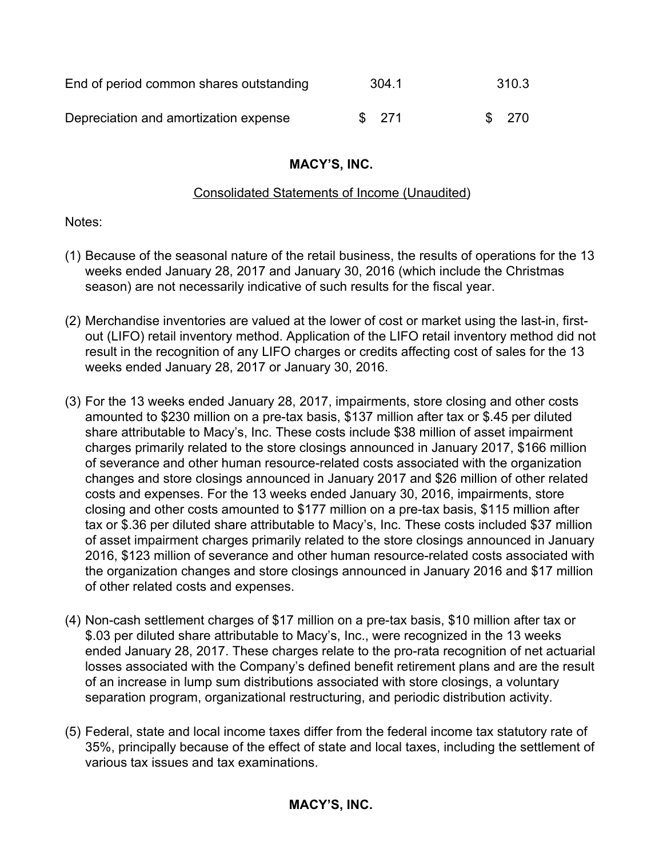| End of period common shares outstanding | 304.1  | 310.3  |
|-----------------------------------------|--------|--------|
| Depreciation and amortization expense   | \$ 271 | \$ 270 |

#### Consolidated Statements of Income (Unaudited)

Notes:

- (1) Because of the seasonal nature of the retail business, the results of operations for the 13 weeks ended January 28, 2017 and January 30, 2016 (which include the Christmas season) are not necessarily indicative of such results for the fiscal year.
- (2) Merchandise inventories are valued at the lower of cost or market using the last-in, firstout (LIFO) retail inventory method. Application of the LIFO retail inventory method did not result in the recognition of any LIFO charges or credits affecting cost of sales for the 13 weeks ended January 28, 2017 or January 30, 2016.
- (3) For the 13 weeks ended January 28, 2017, impairments, store closing and other costs amounted to \$230 million on a pre-tax basis, \$137 million after tax or \$.45 per diluted share attributable to Macy's, Inc. These costs include \$38 million of asset impairment charges primarily related to the store closings announced in January 2017, \$166 million of severance and other human resource-related costs associated with the organization changes and store closings announced in January 2017 and \$26 million of other related costs and expenses. For the 13 weeks ended January 30, 2016, impairments, store closing and other costs amounted to \$177 million on a pre-tax basis, \$115 million after tax or \$.36 per diluted share attributable to Macy's, Inc. These costs included \$37 million of asset impairment charges primarily related to the store closings announced in January 2016, \$123 million of severance and other human resource-related costs associated with the organization changes and store closings announced in January 2016 and \$17 million of other related costs and expenses.
- (4) Non-cash settlement charges of \$17 million on a pre-tax basis, \$10 million after tax or \$.03 per diluted share attributable to Macy's, Inc., were recognized in the 13 weeks ended January 28, 2017. These charges relate to the pro-rata recognition of net actuarial losses associated with the Company's defined benefit retirement plans and are the result of an increase in lump sum distributions associated with store closings, a voluntary separation program, organizational restructuring, and periodic distribution activity.
- (5) Federal, state and local income taxes differ from the federal income tax statutory rate of 35%, principally because of the effect of state and local taxes, including the settlement of various tax issues and tax examinations.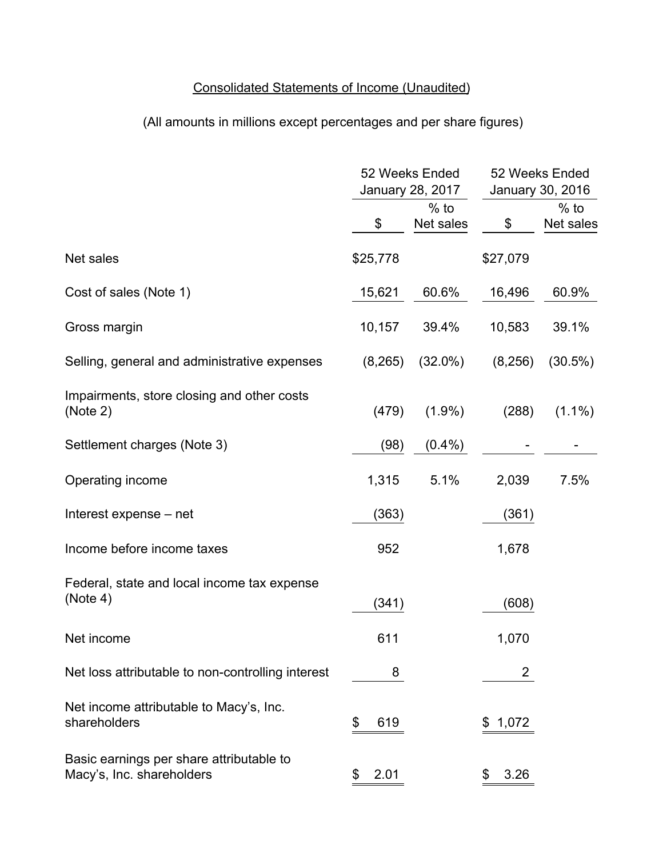## Consolidated Statements of Income (Unaudited)

# (All amounts in millions except percentages and per share figures)

|                                                                       | 52 Weeks Ended<br>January 28, 2017 |                     | 52 Weeks Ended<br>January 30, 2016 |                     |  |
|-----------------------------------------------------------------------|------------------------------------|---------------------|------------------------------------|---------------------|--|
|                                                                       | \$                                 | $%$ to<br>Net sales | \$                                 | $%$ to<br>Net sales |  |
| Net sales                                                             | \$25,778                           |                     | \$27,079                           |                     |  |
| Cost of sales (Note 1)                                                | 15,621                             | 60.6%               | 16,496                             | 60.9%               |  |
| Gross margin                                                          | 10,157                             | 39.4%               | 10,583                             | 39.1%               |  |
| Selling, general and administrative expenses                          | (8,265)                            | $(32.0\%)$          | (8,256)                            | $(30.5\%)$          |  |
| Impairments, store closing and other costs<br>(Note 2)                | (479)                              | $(1.9\%)$           | (288)                              | $(1.1\%)$           |  |
| Settlement charges (Note 3)                                           | (98)                               | $(0.4\%)$           |                                    |                     |  |
| Operating income                                                      | 1,315                              | 5.1%                | 2,039                              | 7.5%                |  |
| Interest expense – net                                                | (363)                              |                     | (361)                              |                     |  |
| Income before income taxes                                            | 952                                |                     | 1,678                              |                     |  |
| Federal, state and local income tax expense<br>(Note 4)               | (341)                              |                     | (608)                              |                     |  |
| Net income                                                            | 611                                |                     | 1,070                              |                     |  |
| Net loss attributable to non-controlling interest                     | 8                                  |                     | 2                                  |                     |  |
| Net income attributable to Macy's, Inc.<br>shareholders               | 619<br>\$                          |                     | 1,072<br>\$                        |                     |  |
| Basic earnings per share attributable to<br>Macy's, Inc. shareholders | 2.01<br>\$                         |                     | 3.26<br>\$                         |                     |  |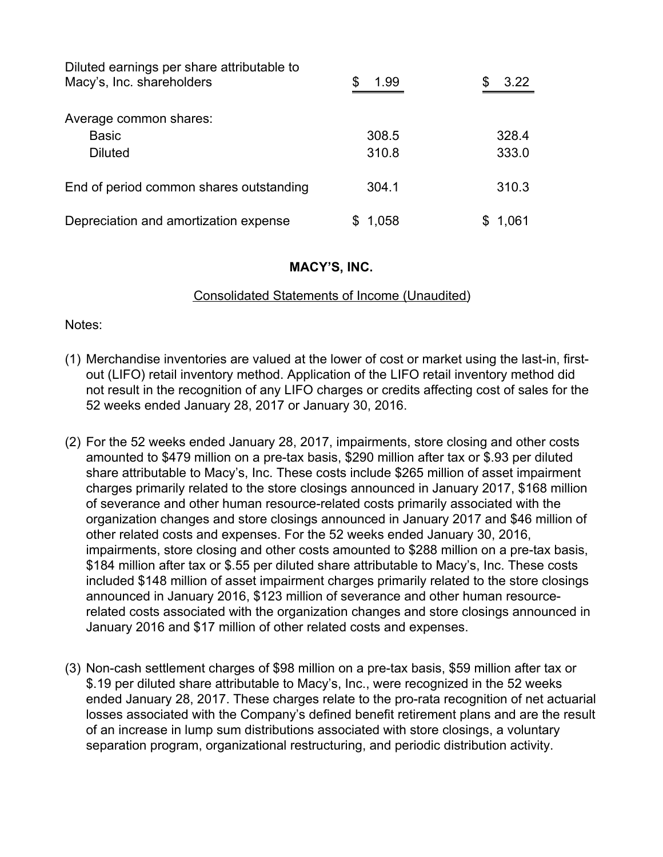| Diluted earnings per share attributable to<br>Macy's, Inc. shareholders | S<br>1.99 | 3.22  |
|-------------------------------------------------------------------------|-----------|-------|
| Average common shares:                                                  |           |       |
| <b>Basic</b>                                                            | 308.5     | 328.4 |
| <b>Diluted</b>                                                          | 310.8     | 333.0 |
| End of period common shares outstanding                                 | 304.1     | 310.3 |
| Depreciation and amortization expense                                   | 1,058     | 1.061 |

#### Consolidated Statements of Income (Unaudited)

Notes:

- (1) Merchandise inventories are valued at the lower of cost or market using the last-in, firstout (LIFO) retail inventory method. Application of the LIFO retail inventory method did not result in the recognition of any LIFO charges or credits affecting cost of sales for the 52 weeks ended January 28, 2017 or January 30, 2016.
- (2) For the 52 weeks ended January 28, 2017, impairments, store closing and other costs amounted to \$479 million on a pre-tax basis, \$290 million after tax or \$.93 per diluted share attributable to Macy's, Inc. These costs include \$265 million of asset impairment charges primarily related to the store closings announced in January 2017, \$168 million of severance and other human resource-related costs primarily associated with the organization changes and store closings announced in January 2017 and \$46 million of other related costs and expenses. For the 52 weeks ended January 30, 2016, impairments, store closing and other costs amounted to \$288 million on a pre-tax basis, \$184 million after tax or \$.55 per diluted share attributable to Macy's, Inc. These costs included \$148 million of asset impairment charges primarily related to the store closings announced in January 2016, \$123 million of severance and other human resourcerelated costs associated with the organization changes and store closings announced in January 2016 and \$17 million of other related costs and expenses.
- (3) Non-cash settlement charges of \$98 million on a pre-tax basis, \$59 million after tax or \$.19 per diluted share attributable to Macy's, Inc., were recognized in the 52 weeks ended January 28, 2017. These charges relate to the pro-rata recognition of net actuarial losses associated with the Company's defined benefit retirement plans and are the result of an increase in lump sum distributions associated with store closings, a voluntary separation program, organizational restructuring, and periodic distribution activity.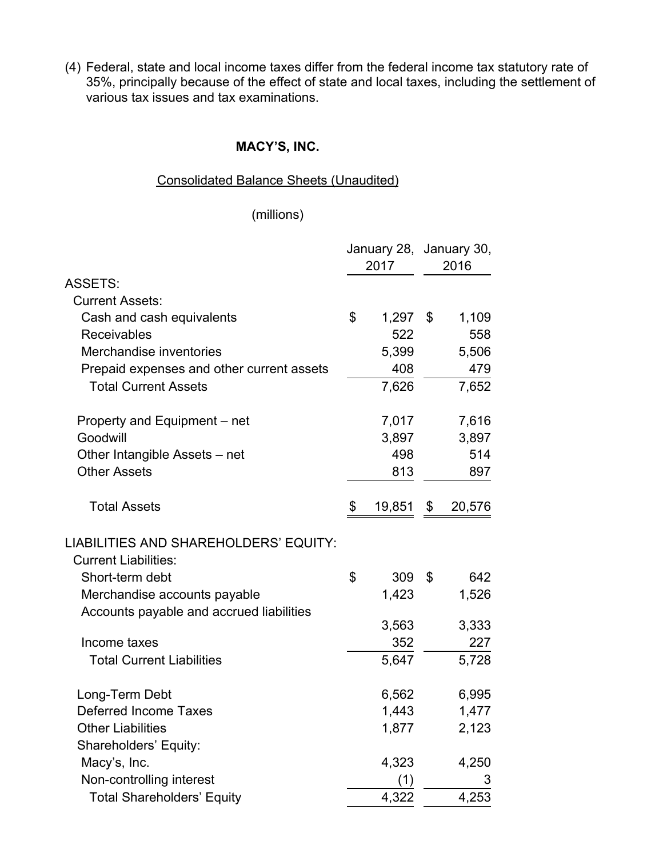(4) Federal, state and local income taxes differ from the federal income tax statutory rate of 35%, principally because of the effect of state and local taxes, including the settlement of various tax issues and tax examinations.

## **MACY'S, INC.**

## Consolidated Balance Sheets (Unaudited)

## (millions)

|                                           | 2017 |        | January 28, January 30,<br>2016 |        |  |
|-------------------------------------------|------|--------|---------------------------------|--------|--|
| ASSETS:                                   |      |        |                                 |        |  |
| <b>Current Assets:</b>                    |      |        |                                 |        |  |
| Cash and cash equivalents                 | \$   | 1,297  | \$                              | 1,109  |  |
| <b>Receivables</b>                        |      | 522    |                                 | 558    |  |
| Merchandise inventories                   |      | 5,399  |                                 | 5,506  |  |
| Prepaid expenses and other current assets |      | 408    |                                 | 479    |  |
| <b>Total Current Assets</b>               |      | 7,626  |                                 | 7,652  |  |
| Property and Equipment – net              |      | 7,017  |                                 | 7,616  |  |
| Goodwill                                  |      | 3,897  |                                 | 3,897  |  |
| Other Intangible Assets - net             |      | 498    |                                 | 514    |  |
| <b>Other Assets</b>                       |      | 813    |                                 | 897    |  |
| <b>Total Assets</b>                       | \$   | 19,851 | $\$\$                           | 20,576 |  |
| LIABILITIES AND SHAREHOLDERS' EQUITY:     |      |        |                                 |        |  |
| <b>Current Liabilities:</b>               |      |        |                                 |        |  |
| Short-term debt                           | \$   | 309    | $\boldsymbol{\mathsf{S}}$       | 642    |  |
| Merchandise accounts payable              |      | 1,423  |                                 | 1,526  |  |
| Accounts payable and accrued liabilities  |      |        |                                 |        |  |
|                                           |      | 3,563  |                                 | 3,333  |  |
| Income taxes                              |      | 352    |                                 | 227    |  |
| <b>Total Current Liabilities</b>          |      | 5,647  |                                 | 5,728  |  |
| Long-Term Debt                            |      | 6,562  |                                 | 6,995  |  |
| <b>Deferred Income Taxes</b>              |      | 1,443  |                                 | 1,477  |  |
| <b>Other Liabilities</b>                  |      | 1,877  |                                 | 2,123  |  |
| Shareholders' Equity:                     |      |        |                                 |        |  |
| Macy's, Inc.                              |      | 4,323  |                                 | 4,250  |  |
| Non-controlling interest                  |      | (1)    |                                 | 3      |  |
| <b>Total Shareholders' Equity</b>         |      | 4,322  |                                 | 4,253  |  |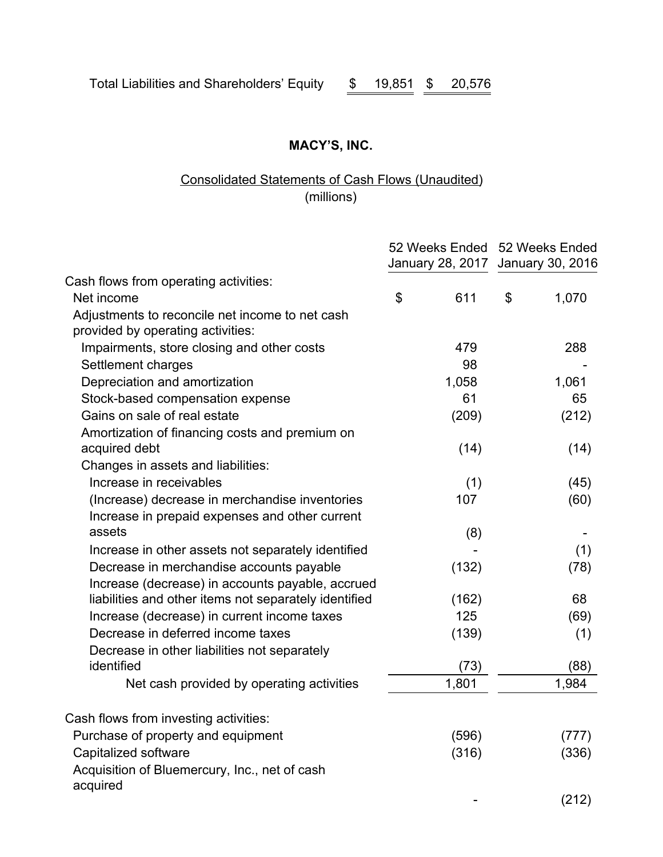## Consolidated Statements of Cash Flows (Unaudited) (millions)

|                                                                                      |                           |       | 52 Weeks Ended 52 Weeks Ended<br>January 28, 2017 January 30, 2016 |       |
|--------------------------------------------------------------------------------------|---------------------------|-------|--------------------------------------------------------------------|-------|
| Cash flows from operating activities:                                                |                           |       |                                                                    |       |
| Net income                                                                           | $\boldsymbol{\mathsf{S}}$ | 611   | \$                                                                 | 1,070 |
| Adjustments to reconcile net income to net cash<br>provided by operating activities: |                           |       |                                                                    |       |
| Impairments, store closing and other costs                                           |                           | 479   |                                                                    | 288   |
| Settlement charges                                                                   |                           | 98    |                                                                    |       |
| Depreciation and amortization                                                        |                           | 1,058 |                                                                    | 1,061 |
| Stock-based compensation expense                                                     |                           | 61    |                                                                    | 65    |
| Gains on sale of real estate                                                         |                           | (209) |                                                                    | (212) |
| Amortization of financing costs and premium on                                       |                           |       |                                                                    |       |
| acquired debt                                                                        |                           | (14)  |                                                                    | (14)  |
| Changes in assets and liabilities:                                                   |                           |       |                                                                    |       |
| Increase in receivables                                                              |                           | (1)   |                                                                    | (45)  |
| (Increase) decrease in merchandise inventories                                       |                           | 107   |                                                                    | (60)  |
| Increase in prepaid expenses and other current                                       |                           |       |                                                                    |       |
| assets                                                                               |                           | (8)   |                                                                    |       |
| Increase in other assets not separately identified                                   |                           |       |                                                                    | (1)   |
| Decrease in merchandise accounts payable                                             |                           | (132) |                                                                    | (78)  |
| Increase (decrease) in accounts payable, accrued                                     |                           |       |                                                                    |       |
| liabilities and other items not separately identified                                |                           | (162) |                                                                    | 68    |
| Increase (decrease) in current income taxes                                          |                           | 125   |                                                                    | (69)  |
| Decrease in deferred income taxes                                                    |                           | (139) |                                                                    | (1)   |
| Decrease in other liabilities not separately                                         |                           |       |                                                                    |       |
| identified                                                                           |                           | (73)  |                                                                    | (88)  |
| Net cash provided by operating activities                                            |                           | 1,801 |                                                                    | 1,984 |
| Cash flows from investing activities:                                                |                           |       |                                                                    |       |
| Purchase of property and equipment                                                   |                           | (596) |                                                                    | (777) |
| Capitalized software                                                                 |                           | (316) |                                                                    | (336) |
| Acquisition of Bluemercury, Inc., net of cash                                        |                           |       |                                                                    |       |
| acquired                                                                             |                           |       |                                                                    |       |
|                                                                                      |                           |       |                                                                    | (212) |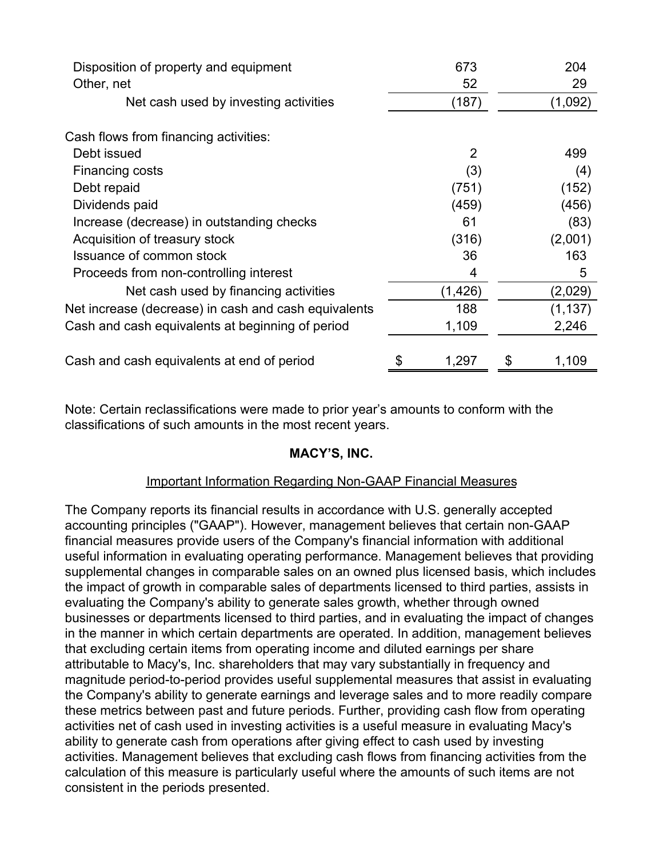| Disposition of property and equipment                | 673      | 204      |
|------------------------------------------------------|----------|----------|
| Other, net                                           | 52       | 29       |
| Net cash used by investing activities                | (187)    | (1,092)  |
| Cash flows from financing activities:                |          |          |
| Debt issued                                          | 2        | 499      |
| Financing costs                                      | (3)      | (4)      |
| Debt repaid                                          | (751)    | (152)    |
| Dividends paid                                       | (459)    | (456)    |
| Increase (decrease) in outstanding checks            | 61       | (83)     |
| Acquisition of treasury stock                        | (316)    | (2,001)  |
| Issuance of common stock                             | 36       | 163      |
| Proceeds from non-controlling interest               | 4        | 5        |
| Net cash used by financing activities                | (1, 426) | (2,029)  |
| Net increase (decrease) in cash and cash equivalents | 188      | (1, 137) |
| Cash and cash equivalents at beginning of period     | 1,109    | 2,246    |
| Cash and cash equivalents at end of period           | 1,297    | 1,109    |

Note: Certain reclassifications were made to prior year's amounts to conform with the classifications of such amounts in the most recent years.

## **MACY'S, INC.**

#### Important Information Regarding Non-GAAP Financial Measures

The Company reports its financial results in accordance with U.S. generally accepted accounting principles ("GAAP"). However, management believes that certain non-GAAP financial measures provide users of the Company's financial information with additional useful information in evaluating operating performance. Management believes that providing supplemental changes in comparable sales on an owned plus licensed basis, which includes the impact of growth in comparable sales of departments licensed to third parties, assists in evaluating the Company's ability to generate sales growth, whether through owned businesses or departments licensed to third parties, and in evaluating the impact of changes in the manner in which certain departments are operated. In addition, management believes that excluding certain items from operating income and diluted earnings per share attributable to Macy's, Inc. shareholders that may vary substantially in frequency and magnitude period-to-period provides useful supplemental measures that assist in evaluating the Company's ability to generate earnings and leverage sales and to more readily compare these metrics between past and future periods. Further, providing cash flow from operating activities net of cash used in investing activities is a useful measure in evaluating Macy's ability to generate cash from operations after giving effect to cash used by investing activities. Management believes that excluding cash flows from financing activities from the calculation of this measure is particularly useful where the amounts of such items are not consistent in the periods presented.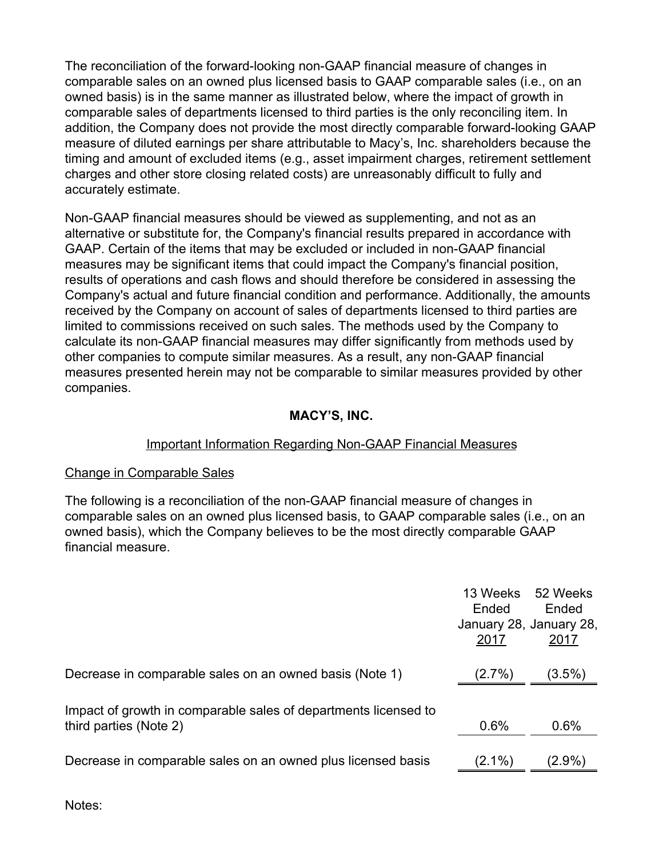The reconciliation of the forward-looking non-GAAP financial measure of changes in comparable sales on an owned plus licensed basis to GAAP comparable sales (i.e., on an owned basis) is in the same manner as illustrated below, where the impact of growth in comparable sales of departments licensed to third parties is the only reconciling item. In addition, the Company does not provide the most directly comparable forward-looking GAAP measure of diluted earnings per share attributable to Macy's, Inc. shareholders because the timing and amount of excluded items (e.g., asset impairment charges, retirement settlement charges and other store closing related costs) are unreasonably difficult to fully and accurately estimate.

Non-GAAP financial measures should be viewed as supplementing, and not as an alternative or substitute for, the Company's financial results prepared in accordance with GAAP. Certain of the items that may be excluded or included in non-GAAP financial measures may be significant items that could impact the Company's financial position, results of operations and cash flows and should therefore be considered in assessing the Company's actual and future financial condition and performance. Additionally, the amounts received by the Company on account of sales of departments licensed to third parties are limited to commissions received on such sales. The methods used by the Company to calculate its non-GAAP financial measures may differ significantly from methods used by other companies to compute similar measures. As a result, any non-GAAP financial measures presented herein may not be comparable to similar measures provided by other companies.

## **MACY'S, INC.**

## Important Information Regarding Non-GAAP Financial Measures

#### Change in Comparable Sales

The following is a reconciliation of the non-GAAP financial measure of changes in comparable sales on an owned plus licensed basis, to GAAP comparable sales (i.e., on an owned basis), which the Company believes to be the most directly comparable GAAP financial measure.

|                                                                                           | 13 Weeks<br>Ended<br>2017 | 52 Weeks<br>Ended<br>January 28, January 28,<br>2017 |
|-------------------------------------------------------------------------------------------|---------------------------|------------------------------------------------------|
| Decrease in comparable sales on an owned basis (Note 1)                                   | $(2.7\%)$                 | $(3.5\%)$                                            |
| Impact of growth in comparable sales of departments licensed to<br>third parties (Note 2) | 0.6%                      | 0.6%                                                 |
| Decrease in comparable sales on an owned plus licensed basis                              | $(2.1\%)$                 | (2.9%)                                               |

Notes: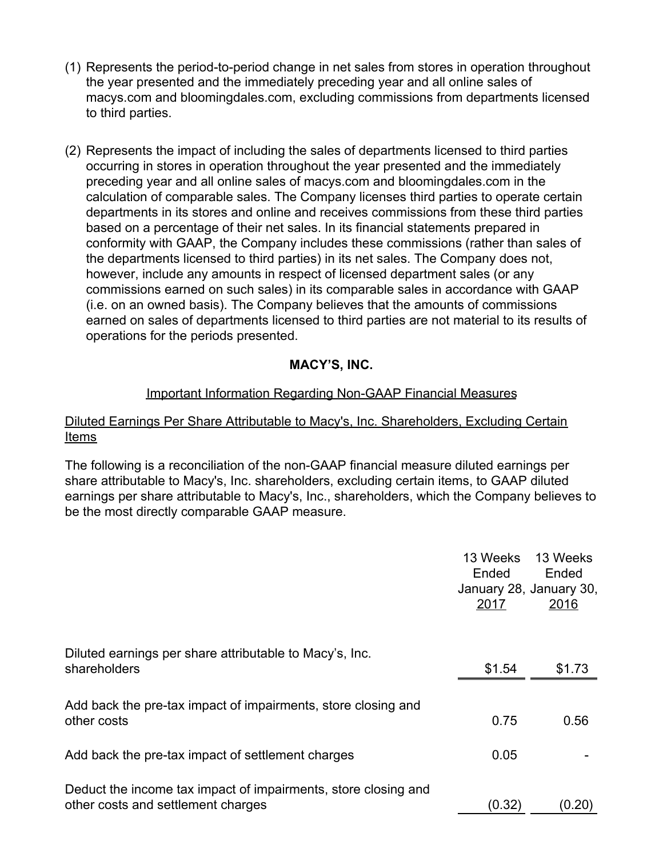- (1) Represents the period-to-period change in net sales from stores in operation throughout the year presented and the immediately preceding year and all online sales of macys.com and bloomingdales.com, excluding commissions from departments licensed to third parties.
- (2) Represents the impact of including the sales of departments licensed to third parties occurring in stores in operation throughout the year presented and the immediately preceding year and all online sales of macys.com and bloomingdales.com in the calculation of comparable sales. The Company licenses third parties to operate certain departments in its stores and online and receives commissions from these third parties based on a percentage of their net sales. In its financial statements prepared in conformity with GAAP, the Company includes these commissions (rather than sales of the departments licensed to third parties) in its net sales. The Company does not, however, include any amounts in respect of licensed department sales (or any commissions earned on such sales) in its comparable sales in accordance with GAAP (i.e. on an owned basis). The Company believes that the amounts of commissions earned on sales of departments licensed to third parties are not material to its results of operations for the periods presented.

#### Important Information Regarding Non-GAAP Financial Measures

#### Diluted Earnings Per Share Attributable to Macy's, Inc. Shareholders, Excluding Certain Items

The following is a reconciliation of the non-GAAP financial measure diluted earnings per share attributable to Macy's, Inc. shareholders, excluding certain items, to GAAP diluted earnings per share attributable to Macy's, Inc., shareholders, which the Company believes to be the most directly comparable GAAP measure.

|                                                                                                      | 13 Weeks<br>Ended<br>2017 | 13 Weeks<br>Ended<br>January 28, January 30,<br>2016 |
|------------------------------------------------------------------------------------------------------|---------------------------|------------------------------------------------------|
| Diluted earnings per share attributable to Macy's, Inc.<br>shareholders                              | \$1.54                    | \$1.73                                               |
| Add back the pre-tax impact of impairments, store closing and<br>other costs                         | 0.75                      | 0.56                                                 |
| Add back the pre-tax impact of settlement charges                                                    | 0.05                      |                                                      |
| Deduct the income tax impact of impairments, store closing and<br>other costs and settlement charges | (0.32)                    | (0.20)                                               |